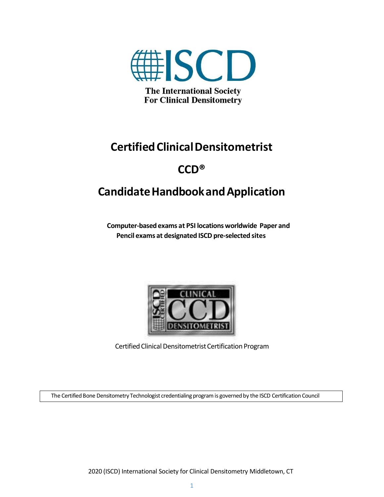

# **CertifiedClinicalDensitometrist**

# **CCD®**

# **CandidateHandbookandApplication**

**Computer-basedexams at PSI locations worldwide Paper and Pencil exams at designated ISCD pre-selected sites**



Certified Clinical Densitometrist Certification Program

The Certified Bone Densitometry Technologist credentialing program is governed by the ISCD Certification Council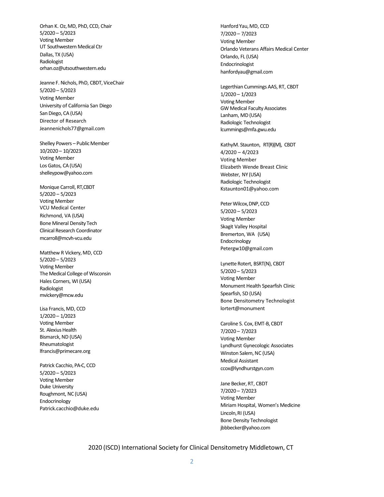Orhan K. Oz,MD, PhD, CCD, Chair 5/2020 – 5/2023 Voting Member UT Southwestern Medical Ctr Dallas, TX (USA) Radiologist [orhan.oz@utsouthwestern.edu](mailto:orhan.oz@utsouthwestern.edu)

Jeanne F. Nichols, PhD, CBDT, ViceChair 5/2020 – 5/2023 Voting Member University of California San Diego San Diego, CA (USA) Director of Researc[h](mailto:Jeannenichols77@gmail.com) [Jeannenichols77@gmail.com](mailto:Jeannenichols77@gmail.com)

Shelley Powers – Public Member 10/2020 – 10/2023 Voting Member Los Gatos, CA(US[A\)](mailto:shelleypow@yahoo.com) [shelleypow@yahoo.com](mailto:shelleypow@yahoo.com)

Monique Carroll, RT,CBDT 5/2020 – 5/2023 Voting Member VCU Medical Center Richmond, VA (USA) Bone Mineral Density Tech Clinical Research Coordinato[r](mailto:mcarroll@mcvh-vcu.edu) [mcarroll@mcvh-vcu.edu](mailto:mcarroll@mcvh-vcu.edu)

Matthew R Vickery, MD, CCD 5/2020 – 5/2023 Voting Member The Medical College of Wisconsin Hales Corners, WI (USA) Radiologist [mvickery@mcw.edu](mailto:mvickery@mcw.edu)

Lisa Francis, MD, CCD 1/2020 – 1/2023 Voting Member St. Alexius Health Bismarck, ND (USA) Rheumatologi[st](mailto:lfrancis@primecare.org) [lfrancis@primecare.org](mailto:lfrancis@primecare.org)

Patrick Cacchio, PA-C, CCD 5/2020 – 5/2023 Voting Member Duke University Roughmont, NC (USA) Endocrinolog[y](mailto:Patrick.cacchio@duke.edu) [Patrick.cacchio@duke.edu](mailto:Patrick.cacchio@duke.edu) Hanford Yau, MD, CCD 7/2020 – 7/2023 Voting Member Orlando Veterans Affairs Medical Center Orlando, FL (USA) Endocrinologi[st](mailto:hanfordyau@gmail.com) [hanfordyau@gmail.com](mailto:hanfordyau@gmail.com)

Legerthian Cummings AAS, RT, CBDT 1/2020 – 1/2023 Voting Member GW Medical Faculty Associates Lanham, MD(USA) Radiologic Technologis[t](mailto:lcummings@mfa.gwu.edu) [lcummings@mfa.gwu.edu](mailto:lcummings@mfa.gwu.edu)

KathyM. Staunton, RT(R)(M), CBDT 4/2020 – 4/2023 Voting Member Elizabeth Wende Breast Clinic Webster, NY (USA) Radiologic Technologis[t](mailto:Kstaunton01@yahoo.com) [Kstaunton01@yahoo.com](mailto:Kstaunton01@yahoo.com)

Peter Wilcox, DNP, CCD 5/2020 – 5/2023 Voting Member Skagit Valley Hospital Bremerton, WA (USA) Endocrinolog[y](mailto:Petergw10@gmail.com) [Petergw10@gmail.com](mailto:Petergw10@gmail.com)

Lynette Rotert, BSRT(N), CBDT 5/2020 – 5/2023 Voting Member Monument Health Spearfish Clinic Spearfish, SD (USA) Bone Densitometry Technologist lortert@monument

Caroline S. Cox, EMT-B, CBDT 7/2020 – 7/2023 Voting Member Lyndhurst Gynecologic Associates Winston Salem, NC (USA) Medical Assista[nt](mailto:ccox@lyndhurstgyn.com) [ccox@lyndhurstgyn.com](mailto:ccox@lyndhurstgyn.com)

Jane Becker, RT, CBDT 7/2020 – 7/2023 Voting Member Miriam Hospital, Women's Medicine Lincoln, RI (USA) Bone Density Technologi[st](mailto:jbbbecker@yahoo.com) [jbbbecker@yahoo.com](mailto:jbbbecker@yahoo.com)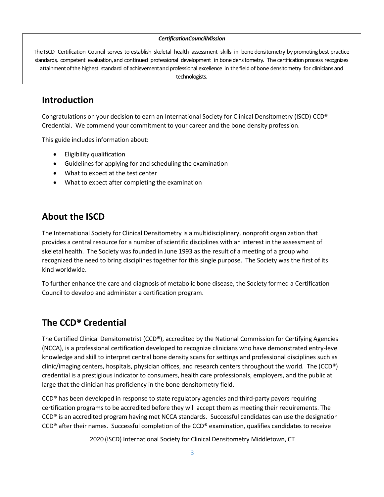#### *CertificationCouncilMission*

The ISCD Certification Council serves to establish skeletal health assessment skills in bone densitometry by promoting best practice standards, competent evaluation, and continued professional development in bone densitometry. The certification process recognizes attainmentofthe highest standard of achievementand professional excellence in thefieldof bone densitometry for clinicians and technologists.

## **Introduction**

Congratulations on your decision to earn an International Society for Clinical Densitometry (ISCD) CCD**®** Credential. We commend your commitment to your career and the bone density profession.

This guide includes information about:

- Eligibility qualification
- Guidelines for applying for and scheduling the examination
- What to expect at the test center
- What to expect after completing the examination

## **About the ISCD**

The International Society for Clinical Densitometry is a multidisciplinary, nonprofit organization that provides a central resource for a number of scientific disciplines with an interest in the assessment of skeletal health. The Society was founded in June 1993 as the result of a meeting of a group who recognized the need to bring disciplines together for this single purpose. The Society was the first of its kind worldwide.

To further enhance the care and diagnosis of metabolic bone disease, the Society formed a Certification Council to develop and administer a certification program.

## **The CCD® Credential**

The Certified Clinical Densitometrist (CCD**®**), accredited by the National Commission for Certifying Agencies (NCCA), is a professional certification developed to recognize clinicians who have demonstrated entry-level knowledge and skill to interpret central bone density scans for settings and professional disciplines such as clinic/imaging centers, hospitals, physician offices, and research centers throughout the world. The (CCD**®**) credential is a prestigious indicator to consumers, health care professionals, employers, and the public at large that the clinician has proficiency in the bone densitometry field.

CCD® has been developed in response to state regulatory agencies and third-party payors requiring certification programs to be accredited before they will accept them as meeting their requirements. The CCD® is an accredited program having met NCCA standards. Successful candidates can use the designation CCD® after their names. Successful completion of the CCD® examination, qualifies candidates to receive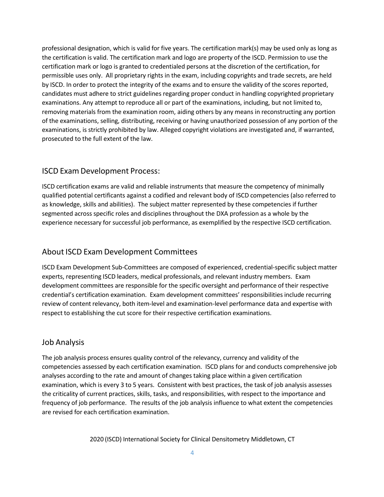professional designation, which is valid for five years. The certification mark(s) may be used only as long as the certification is valid. The certification mark and logo are property of the ISCD. Permission to use the certification mark or logo is granted to credentialed persons at the discretion of the certification, for permissible uses only. All proprietary rights in the exam, including copyrights and trade secrets, are held by ISCD. In order to protect the integrity of the exams and to ensure the validity of the scores reported, candidates must adhere to strict guidelines regarding proper conduct in handling copyrighted proprietary examinations. Any attempt to reproduce all or part of the examinations, including, but not limited to, removing materials from the examination room, aiding others by any means in reconstructing any portion of the examinations, selling, distributing, receiving or having unauthorized possession of any portion of the examinations, is strictly prohibited by law. Alleged copyright violations are investigated and, if warranted, prosecuted to the full extent of the law.

## ISCD Exam Development Process:

ISCD certification exams are valid and reliable instruments that measure the competency of minimally qualified potential certificants against a codified and relevant body of ISCD competencies (also referred to as knowledge, skills and abilities). The subject matter represented by these competencies if further segmented across specific roles and disciplines throughout the DXA profession as a whole by the experience necessary for successful job performance, as exemplified by the respective ISCD certification.

### About ISCD Exam Development Committees

ISCD Exam Development Sub-Committees are composed of experienced, credential-specific subject matter experts, representing ISCD leaders, medical professionals, and relevant industry members. Exam development committees are responsible for the specific oversight and performance of their respective credential's certification examination. Exam development committees' responsibilities include recurring review of content relevancy, both item-level and examination-level performance data and expertise with respect to establishing the cut score for their respective certification examinations.

### Job Analysis

The job analysis process ensures quality control of the relevancy, currency and validity of the competencies assessed by each certification examination. ISCD plans for and conducts comprehensive job analyses according to the rate and amount of changes taking place within a given certification examination, which is every 3 to 5 years. Consistent with best practices, the task of job analysis assesses the criticality of current practices, skills, tasks, and responsibilities, with respect to the importance and frequency of job performance. The results of the job analysis influence to what extent the competencies are revised for each certification examination.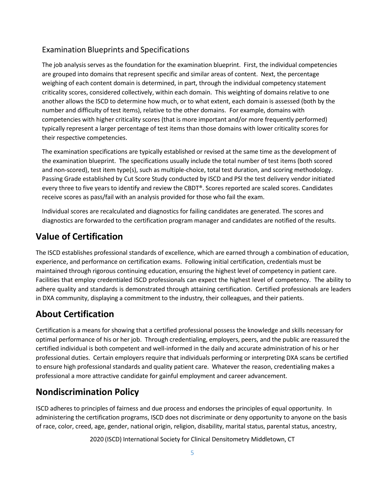## Examination Blueprints and Specifications

The job analysis serves as the foundation for the examination blueprint. First, the individual competencies are grouped into domains that represent specific and similar areas of content. Next, the percentage weighing of each content domain is determined, in part, through the individual competency statement criticality scores, considered collectively, within each domain. This weighting of domains relative to one another allows the ISCD to determine how much, or to what extent, each domain is assessed (both by the number and difficulty of test items), relative to the other domains. For example, domains with competencies with higher criticality scores (that is more important and/or more frequently performed) typically represent a larger percentage of test items than those domains with lower criticality scores for their respective competencies.

The examination specifications are typically established or revised at the same time as the development of the examination blueprint. The specifications usually include the total number of test items (both scored and non-scored), test item type(s), such as multiple-choice, total test duration, and scoring methodology. Passing Grade established by Cut Score Study conducted by ISCD and PSI the test delivery vendor initiated every three to five years to identify and review the CBDT®. Scores reported are scaled scores. Candidates receive scores as pass/fail with an analysis provided for those who fail the exam.

Individual scores are recalculated and diagnostics for failing candidates are generated. The scores and diagnostics are forwarded to the certification program manager and candidates are notified of the results.

## **Value of Certification**

The ISCD establishes professional standards of excellence, which are earned through a combination of education, experience, and performance on certification exams. Following initial certification, credentials must be maintained through rigorous continuing education, ensuring the highest level of competency in patient care. Facilities that employ credentialed ISCD professionals can expect the highest level of competency. The ability to adhere quality and standards is demonstrated through attaining certification. Certified professionals are leaders in DXA community, displaying a commitment to the industry, their colleagues, and their patients.

## **About Certification**

Certification is a means for showing that a certified professional possess the knowledge and skills necessary for optimal performance of his or her job. Through credentialing, employers, peers, and the public are reassured the certified individual is both competent and well-informed in the daily and accurate administration of his or her professional duties. Certain employers require that individuals performing or interpreting DXA scans be certified to ensure high professional standards and quality patient care. Whatever the reason, credentialing makes a professional a more attractive candidate for gainful employment and career advancement.

## **Nondiscrimination Policy**

ISCD adheres to principles of fairness and due process and endorses the principles of equal opportunity. In administering the certification programs, ISCD does not discriminate or deny opportunity to anyone on the basis of race, color, creed, age, gender, national origin, religion, disability, marital status, parental status, ancestry,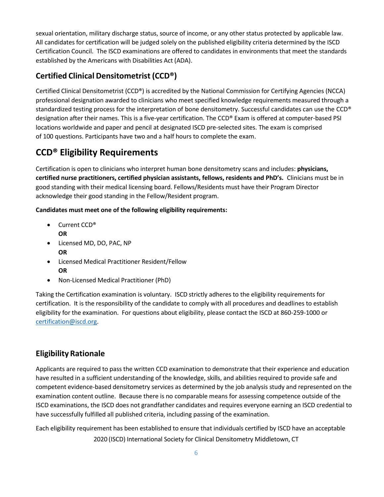sexual orientation, military discharge status, source of income, or any other status protected by applicable law. All candidates for certification will be judged solely on the published eligibility criteria determined by the ISCD Certification Council. The ISCD examinations are offered to candidates in environments that meet the standards established by the Americans with Disabilities Act (ADA).

## **Certified Clinical Densitometrist (CCD®)**

Certified Clinical Densitometrist (CCD®) is accredited by the National Commission for Certifying Agencies (NCCA) professional designation awarded to clinicians who meet specified knowledge requirements measured through a standardized testing process for the interpretation of bone densitometry. Successful candidates can use the CCD® designation after their names. This is a five-year certification. The CCD® Exam is offered at computer-based PSI locations worldwide and paper and pencil at designated ISCD pre-selected sites. The exam is comprised of 100 questions. Participants have two and a half hours to complete the exam.

## **CCD® Eligibility Requirements**

Certification is open to clinicians who interpret human bone densitometry scans and includes: **physicians, certified nurse practitioners, certified physician assistants, fellows, residents and PhD's.** Clinicians must be in good standing with their medical licensing board. Fellows/Residents must have their Program Director acknowledge their good standing in the Fellow/Resident program.

**Candidates must meet one of the following eligibility requirements:**

- Current CCD® **OR**
- Licensed MD, DO, PAC, NP **OR**
- Licensed Medical Practitioner Resident/Fellow **OR**
- Non-Licensed Medical Practitioner (PhD)

Taking the Certification examination is voluntary. ISCD strictly adheres to the eligibility requirements for certification. It is the responsibility of the candidate to comply with all procedures and deadlines to establish eligibility for the examination. For questions about eligibility, please contact the ISCD at 860-259-1000 or [certification@iscd.org.](mailto:certification@iscd.org)

## **Eligibility Rationale**

Applicants are required to pass the written CCD examination to demonstrate that their experience and education have resulted in a sufficient understanding of the knowledge, skills, and abilities required to provide safe and competent evidence-based densitometry services as determined by the job analysis study and represented on the examination content outline. Because there is no comparable means for assessing competence outside of the ISCD examinations, the ISCD does not grandfather candidates and requires everyone earning an ISCD credential to have successfully fulfilled all published criteria, including passing of the examination.

2020 (ISCD) International Society for Clinical Densitometry Middletown, CT Each eligibility requirement has been established to ensure that individuals certified by ISCD have an acceptable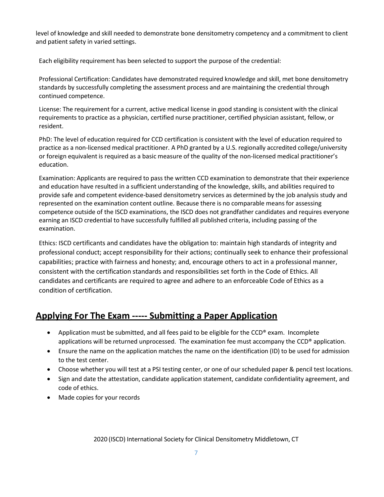level of knowledge and skill needed to demonstrate bone densitometry competency and a commitment to client and patient safety in varied settings.

Each eligibility requirement has been selected to support the purpose of the credential:

Professional Certification: Candidates have demonstrated required knowledge and skill, met bone densitometry standards by successfully completing the assessment process and are maintaining the credential through continued competence.

License: The requirement for a current, active medical license in good standing is consistent with the clinical requirements to practice as a physician, certified nurse practitioner, certified physician assistant, fellow, or resident.

PhD: The level of education required for CCD certification is consistent with the level of education required to practice as a non-licensed medical practitioner. A PhD granted by a U.S. regionally accredited college/university or foreign equivalent is required as a basic measure of the quality of the non-licensed medical practitioner's education.

Examination: Applicants are required to pass the written CCD examination to demonstrate that their experience and education have resulted in a sufficient understanding of the knowledge, skills, and abilities required to provide safe and competent evidence-based densitometry services as determined by the job analysis study and represented on the examination content outline. Because there is no comparable means for assessing competence outside of the ISCD examinations, the ISCD does not grandfather candidates and requires everyone earning an ISCD credential to have successfully fulfilled all published criteria, including passing of the examination.

Ethics: ISCD certificants and candidates have the obligation to: maintain high standards of integrity and professional conduct; accept responsibility for their actions; continually seek to enhance their professional capabilities; practice with fairness and honesty; and, encourage others to act in a professional manner, consistent with the certification standards and responsibilities set forth in the Code of Ethics. All candidates and certificants are required to agree and adhere to an enforceable Code of Ethics as a condition of certification.

## **Applying For The Exam ----- Submitting a Paper Application**

- Application must be submitted, and all fees paid to be eligible for the CCD® exam. Incomplete applications will be returned unprocessed. The examination fee must accompany the CCD® application.
- Ensure the name on the application matches the name on the identification (ID) to be used for admission to the test center.
- Choose whether you will test at a PSI testing center, or one of our scheduled paper & pencil test locations.
- Sign and date the attestation, candidate application statement, candidate confidentiality agreement, and code of ethics.
- Made copies for your records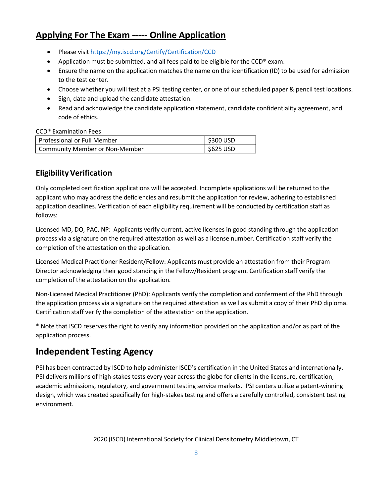## **Applying For The Exam ----- Online Application**

- Please visit https://my.iscd.org/Certify/Certification/CCD
- Application must be submitted, and all fees paid to be eligible for the  $CCD^{\circledast}$  exam.
- Ensure the name on the application matches the name on the identification (ID) to be used for admission to the test center.
- Choose whether you will test at a PSI testing center, or one of our scheduled paper & pencil test locations.
- Sign, date and upload the candidate attestation.
- Read and acknowledge the candidate application statement, candidate confidentiality agreement, and code of ethics.

### CCD® Examination Fees

| <b>Professional or Full Member</b>    | $\frac{1}{2}$ \$300 USD |
|---------------------------------------|-------------------------|
| <b>Community Member or Non-Member</b> | \$625 USD               |

## **EligibilityVerification**

Only completed certification applications will be accepted. Incomplete applications will be returned to the applicant who may address the deficiencies and resubmit the application for review, adhering to established application deadlines. Verification of each eligibility requirement will be conducted by certification staff as follows:

Licensed MD, DO, PAC, NP: Applicants verify current, active licenses in good standing through the application process via a signature on the required attestation as well as a license number. Certification staff verify the completion of the attestation on the application.

Licensed Medical Practitioner Resident/Fellow: Applicants must provide an attestation from their Program Director acknowledging their good standing in the Fellow/Resident program. Certification staff verify the completion of the attestation on the application.

Non-Licensed Medical Practitioner (PhD): Applicants verify the completion and conferment of the PhD through the application process via a signature on the required attestation as well as submit a copy of their PhD diploma. Certification staff verify the completion of the attestation on the application.

\* Note that ISCD reserves the right to verify any information provided on the application and/or as part of the application process.

## **Independent Testing Agency**

PSI has been contracted by ISCD to help administer ISCD's certification in the United States and internationally. PSI delivers millions of high-stakes tests every year across the globe for clients in the licensure, certification, academic admissions, regulatory, and government testing service markets. PSI centers utilize a patent-winning design, which was created specifically for high-stakes testing and offers a carefully controlled, consistent testing environment.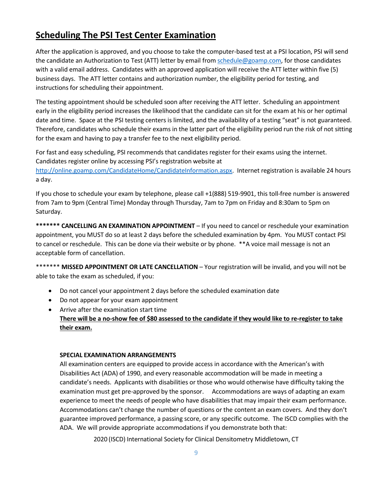## **Scheduling The PSI Test Center Examination**

After the application is approved, and you choose to take the computer-based test at a PSI location, PSI will send the candidate an Authorization to Test (ATT) letter by email fro[m schedule@goamp.com,](mailto:schedule@goamp.com) for those candidates with a valid email address. Candidates with an approved application will receive the ATT letter within five (5) business days. The ATT letter contains and authorization number, the eligibility period for testing, and instructions for scheduling their appointment.

The testing appointment should be scheduled soon after receiving the ATT letter. Scheduling an appointment early in the eligibility period increases the likelihood that the candidate can sit for the exam at his or her optimal date and time. Space at the PSI testing centers is limited, and the availability of a testing "seat" is not guaranteed. Therefore, candidates who schedule their exams in the latter part of the eligibility period run the risk of not sitting for the exam and having to pay a transfer fee to the next eligibility period.

For fast and easy scheduling, PSI recommends that candidates register for their exams using the internet. Candidates register online by accessing PSI's registration website at [http://online.goamp.com/CandidateHome/CandidateInformation.aspx.](http://online.goamp.com/CandidateHome/CandidateInformation.aspx) Internet registration is available 24 hours a day.

If you chose to schedule your exam by telephone, please call +1(888) 519-9901, this toll-free number is answered from 7am to 9pm (Central Time) Monday through Thursday, 7am to 7pm on Friday and 8:30am to 5pm on Saturday.

**\*\*\*\*\*\*\* CANCELLING AN EXAMINATION APPOINTMENT** – If you need to cancel or reschedule your examination appointment, you MUST do so at least 2 days before the scheduled examination by 4pm. You MUST contact PSI to cancel or reschedule. This can be done via their website or by phone. \*\*A voice mail message is not an acceptable form of cancellation.

\*\*\*\*\*\*\* **MISSED APPOINTMENT OR LATE CANCELLATION** – Your registration will be invalid, and you will not be able to take the exam as scheduled, if you:

- Do not cancel your appointment 2 days before the scheduled examination date
- Do not appear for your exam appointment
- Arrive after the examination start time

### **There will be a no-show fee of \$80 assessed to the candidate if they would like to re-register to take their exam.**

#### **SPECIAL EXAMINATION ARRANGEMENTS**

All examination centers are equipped to provide access in accordance with the American's with Disabilities Act (ADA) of 1990, and every reasonable accommodation will be made in meeting a candidate's needs. Applicants with disabilities or those who would otherwise have difficulty taking the examination must get pre-approved by the sponsor. Accommodations are ways of adapting an exam experience to meet the needs of people who have disabilities that may impair their exam performance. Accommodations can't change the number of questions or the content an exam covers. And they don't guarantee improved performance, a passing score, or any specific outcome. The ISCD complies with the ADA. We will provide appropriate accommodations if you demonstrate both that: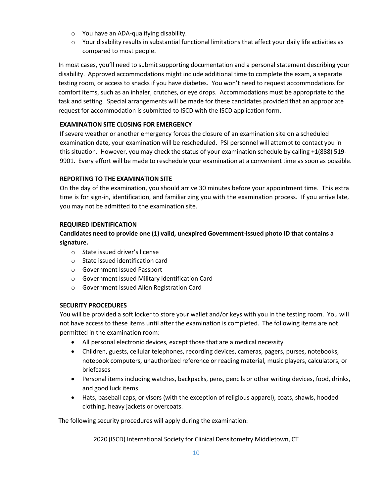- o You have an ADA-qualifying disability.
- o Your disability results in substantial functional limitations that affect your daily life activities as compared to most people.

In most cases, you'll need to submit supporting documentation and a personal statement describing your disability. Approved accommodations might include additional time to complete the exam, a separate testing room, or access to snacks if you have diabetes. You won't need to request accommodations for comfort items, such as an inhaler, crutches, or eye drops. Accommodations must be appropriate to the task and setting. Special arrangements will be made for these candidates provided that an appropriate request for accommodation is submitted to ISCD with the ISCD application form.

### **EXAMINATION SITE CLOSING FOR EMERGENCY**

If severe weather or another emergency forces the closure of an examination site on a scheduled examination date, your examination will be rescheduled. PSI personnel will attempt to contact you in this situation. However, you may check the status of your examination schedule by calling +1(888) 519- 9901. Every effort will be made to reschedule your examination at a convenient time as soon as possible.

### **REPORTING TO THE EXAMINATION SITE**

On the day of the examination, you should arrive 30 minutes before your appointment time. This extra time is for sign-in, identification, and familiarizing you with the examination process. If you arrive late, you may not be admitted to the examination site.

### **REQUIRED IDENTIFICATION**

### **Candidates need to provide one (1) valid, unexpired Government-issued photo ID that contains a signature.**

- o State issued driver's license
- o State issued identification card
- o Government Issued Passport
- o Government Issued Military Identification Card
- o Government Issued Alien Registration Card

#### **SECURITY PROCEDURES**

You will be provided a soft locker to store your wallet and/or keys with you in the testing room. You will not have access to these items until after the examination is completed. The following items are not permitted in the examination room:

- All personal electronic devices, except those that are a medical necessity
- Children, guests, cellular telephones, recording devices, cameras, pagers, purses, notebooks, notebook computers, unauthorized reference or reading material, music players, calculators, or briefcases
- Personal items including watches, backpacks, pens, pencils or other writing devices, food, drinks, and good luck items
- Hats, baseball caps, or visors (with the exception of religious apparel), coats, shawls, hooded clothing, heavy jackets or overcoats.

The following security procedures will apply during the examination: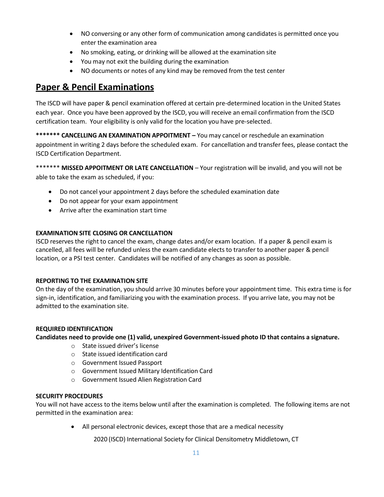- NO conversing or any other form of communication among candidates is permitted once you enter the examination area
- No smoking, eating, or drinking will be allowed at the examination site
- You may not exit the building during the examination
- NO documents or notes of any kind may be removed from the test center

## **Paper & Pencil Examinations**

The ISCD will have paper & pencil examination offered at certain pre-determined location in the United States each year. Once you have been approved by the ISCD, you will receive an email confirmation from the ISCD certification team. Your eligibility is only valid for the location you have pre-selected.

**\*\*\*\*\*\*\* CANCELLING AN EXAMINATION APPOITMENT –** You may cancel or reschedule an examination appointment in writing 2 days before the scheduled exam. For cancellation and transfer fees, please contact the ISCD Certification Department.

\*\*\*\*\*\*\* **MISSED APPOITMENT OR LATE CANCELLATION** – Your registration will be invalid, and you will not be able to take the exam as scheduled, if you:

- Do not cancel your appointment 2 days before the scheduled examination date
- Do not appear for your exam appointment
- Arrive after the examination start time

#### **EXAMINATION SITE CLOSING OR CANCELLATION**

ISCD reserves the right to cancel the exam, change dates and/or exam location. If a paper & pencil exam is cancelled, all fees will be refunded unless the exam candidate elects to transfer to another paper & pencil location, or a PSI test center. Candidates will be notified of any changes as soon as possible.

#### **REPORTING TO THE EXAMINATION SITE**

On the day of the examination, you should arrive 30 minutes before your appointment time. This extra time is for sign-in, identification, and familiarizing you with the examination process. If you arrive late, you may not be admitted to the examination site.

#### **REQUIRED IDENTIFICATION**

**Candidates need to provide one (1) valid, unexpired Government-issued photo ID that contains a signature.**

- o State issued driver's license
- o State issued identification card
- o Government Issued Passport
- o Government Issued Military Identification Card
- o Government Issued Alien Registration Card

#### **SECURITY PROCEDURES**

You will not have access to the items below until after the examination is completed. The following items are not permitted in the examination area:

• All personal electronic devices, except those that are a medical necessity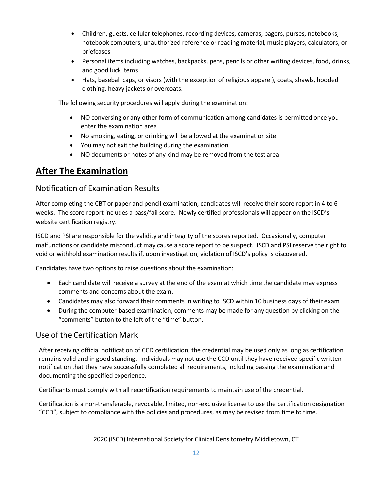- Children, guests, cellular telephones, recording devices, cameras, pagers, purses, notebooks, notebook computers, unauthorized reference or reading material, music players, calculators, or briefcases
- Personal items including watches, backpacks, pens, pencils or other writing devices, food, drinks, and good luck items
- Hats, baseball caps, or visors (with the exception of religious apparel), coats, shawls, hooded clothing, heavy jackets or overcoats.

The following security procedures will apply during the examination:

- NO conversing or any other form of communication among candidates is permitted once you enter the examination area
- No smoking, eating, or drinking will be allowed at the examination site
- You may not exit the building during the examination
- NO documents or notes of any kind may be removed from the test area

## **After The Examination**

## Notification of Examination Results

After completing the CBT or paper and pencil examination, candidates will receive their score report in 4 to 6 weeks. The score report includes a pass/fail score. Newly certified professionals will appear on the ISCD's website certification registry.

ISCD and PSI are responsible for the validity and integrity of the scores reported. Occasionally, computer malfunctions or candidate misconduct may cause a score report to be suspect. ISCD and PSI reserve the right to void or withhold examination results if, upon investigation, violation of ISCD's policy is discovered.

Candidates have two options to raise questions about the examination:

- Each candidate will receive a survey at the end of the exam at which time the candidate may express comments and concerns about the exam.
- Candidates may also forward their comments in writing to ISCD within 10 business days of their exam
- During the computer-based examination, comments may be made for any question by clicking on the "comments" button to the left of the "time" button.

## Use of the Certification Mark

After receiving official notification of CCD certification, the credential may be used only as long as certification remains valid and in good standing. Individuals may not use the CCD until they have received specific written notification that they have successfully completed all requirements, including passing the examination and documenting the specified experience.

Certificants must comply with all recertification requirements to maintain use of the credential.

Certification is a non-transferable, revocable, limited, non-exclusive license to use the certification designation "CCD", subject to compliance with the policies and procedures, as may be revised from time to time.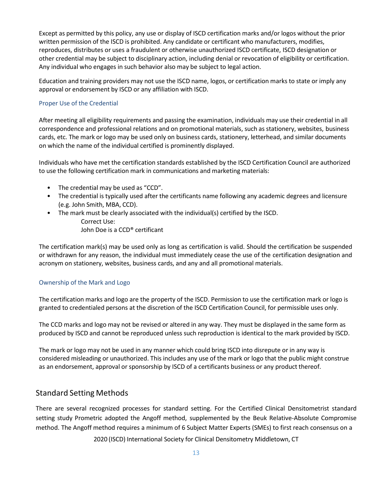Except as permitted by this policy, any use or display of ISCD certification marks and/or logos without the prior written permission of the ISCD is prohibited. Any candidate or certificant who manufacturers, modifies, reproduces, distributes or uses a fraudulent or otherwise unauthorized ISCD certificate, ISCD designation or other credential may be subject to disciplinary action, including denial or revocation of eligibility or certification. Any individual who engages in such behavior also may be subject to legal action.

Education and training providers may not use the ISCD name, logos, or certification marks to state or imply any approval or endorsement by ISCD or any affiliation with ISCD.

#### Proper Use of the Credential

After meeting all eligibility requirements and passing the examination, individuals may use their credential in all correspondence and professional relations and on promotional materials, such as stationery, websites, business cards, etc. The mark or logo may be used only on business cards, stationery, letterhead, and similar documents on which the name of the individual certified is prominently displayed.

Individuals who have met the certification standards established by the ISCD Certification Council are authorized to use the following certification mark in communications and marketing materials:

- The credential may be used as "CCD".
- The credential is typically used after the certificants name following any academic degrees and licensure (e.g. John Smith, MBA, CCD).
- The mark must be clearly associated with the individual(s) certified by the ISCD. Correct Use: John Doe is a CCD® certificant

The certification mark(s) may be used only as long as certification is valid. Should the certification be suspended or withdrawn for any reason, the individual must immediately cease the use of the certification designation and acronym on stationery, websites, business cards, and any and all promotional materials.

#### Ownership of the Mark and Logo

The certification marks and logo are the property of the ISCD. Permission to use the certification mark or logo is granted to credentialed persons at the discretion of the ISCD Certification Council, for permissible uses only.

The CCD marks and logo may not be revised or altered in any way. They must be displayed in the same form as produced by ISCD and cannot be reproduced unless such reproduction is identical to the mark provided by ISCD.

The mark or logo may not be used in any manner which could bring ISCD into disrepute or in any way is considered misleading or unauthorized. This includes any use of the mark or logo that the public might construe as an endorsement, approval or sponsorship by ISCD of a certificants business or any product thereof.

## Standard Setting Methods

There are several recognized processes for standard setting. For the Certified Clinical Densitometrist standard setting study Prometric adopted the Angoff method, supplemented by the Beuk Relative-Absolute Compromise method. The Angoff method requires a minimum of 6 Subject Matter Experts (SMEs) to first reach consensus on a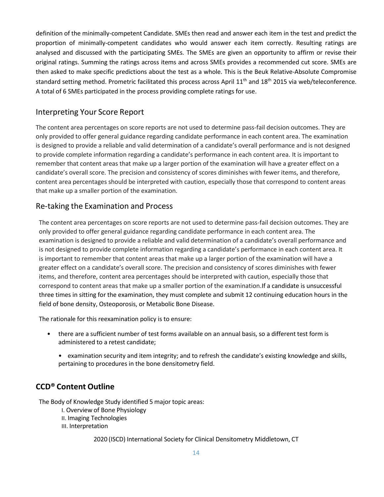definition of the minimally-competent Candidate. SMEs then read and answer each item in the test and predict the proportion of minimally-competent candidates who would answer each item correctly. Resulting ratings are analysed and discussed with the participating SMEs. The SMEs are given an opportunity to affirm or revise their original ratings. Summing the ratings across items and across SMEs provides a recommended cut score. SMEs are then asked to make specific predictions about the test as a whole. This is the Beuk Relative-Absolute Compromise standard setting method. Prometric facilitated this process across April 11<sup>th</sup> and 18<sup>th</sup> 2015 via web/teleconference. A total of 6 SMEs participated in the process providing complete ratings for use.

### Interpreting Your Score Report

The content area percentages on score reports are not used to determine pass-fail decision outcomes. They are only provided to offer general guidance regarding candidate performance in each content area. The examination is designed to provide a reliable and valid determination of a candidate's overall performance and is not designed to provide complete information regarding a candidate's performance in each content area. It is important to remember that content areas that make up a larger portion of the examination will have a greater effect on a candidate's overall score. The precision and consistency of scores diminishes with fewer items, and therefore, content area percentages should be interpreted with caution, especially those that correspond to content areas that make up a smaller portion of the examination.

### Re-taking the Examination and Process

The content area percentages on score reports are not used to determine pass-fail decision outcomes. They are only provided to offer general guidance regarding candidate performance in each content area. The examination is designed to provide a reliable and valid determination of a candidate's overall performance and is not designed to provide complete information regarding a candidate's performance in each content area. It is important to remember that content areas that make up a larger portion of the examination will have a greater effect on a candidate's overall score. The precision and consistency of scores diminishes with fewer items, and therefore, content area percentages should be interpreted with caution, especially those that correspond to content areas that make up a smaller portion of the examination.If a candidate is unsuccessful three times in sitting for the examination, they must complete and submit 12 continuing education hours in the field of bone density, Osteoporosis, or Metabolic Bone Disease.

The rationale for this reexamination policy is to ensure:

- there are a sufficient number of test forms available on an annual basis, so a different test form is administered to a retest candidate;
	- examination security and item integrity; and to refresh the candidate's existing knowledge and skills, pertaining to procedures in the bone densitometry field.

### **CCD® Content Outline**

The Body of Knowledge Study identified 5 major topic areas:

- I. Overview of Bone Physiology
- II. Imaging Technologies
- III. Interpretation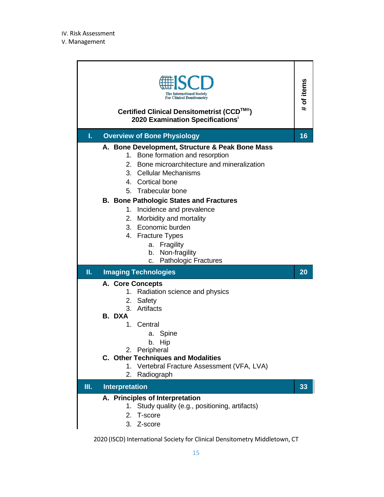|    | <b>The International Society</b><br><b>For Clinical Densitometry</b><br>Certified Clinical Densitometrist (CCD™®)<br>2020 Examination Specifications <sup>i</sup>                                                                                                                                                                                                                                                                                                                      | of items<br>#. |
|----|----------------------------------------------------------------------------------------------------------------------------------------------------------------------------------------------------------------------------------------------------------------------------------------------------------------------------------------------------------------------------------------------------------------------------------------------------------------------------------------|----------------|
| I. | <b>Overview of Bone Physiology</b>                                                                                                                                                                                                                                                                                                                                                                                                                                                     | 16             |
|    | A. Bone Development, Structure & Peak Bone Mass<br>1. Bone formation and resorption<br>Bone microarchitecture and mineralization<br>2.<br>3.<br><b>Cellular Mechanisms</b><br>Cortical bone<br>4 <sup>1</sup><br><b>Trabecular bone</b><br>5.<br><b>B. Bone Pathologic States and Fractures</b><br>Incidence and prevalence<br>1.<br>2. Morbidity and mortality<br>3. Economic burden<br>4. Fracture Types<br>a. Fragility<br>Non-fragility<br>b.<br><b>Pathologic Fractures</b><br>c. |                |
|    |                                                                                                                                                                                                                                                                                                                                                                                                                                                                                        |                |
| Π. | <b>Imaging Technologies</b>                                                                                                                                                                                                                                                                                                                                                                                                                                                            | 20             |
|    | A. Core Concepts<br>Radiation science and physics<br>1.<br>Safety<br>2.<br>Artifacts<br>3.<br>B. DXA<br>Central<br>1.<br>a. Spine<br>b. Hip<br>2. Peripheral<br><b>C. Other Techniques and Modalities</b><br>Vertebral Fracture Assessment (VFA, LVA)<br>1.                                                                                                                                                                                                                            |                |
| Ш. | Radiograph<br>2.<br><b>Interpretation</b>                                                                                                                                                                                                                                                                                                                                                                                                                                              | 33             |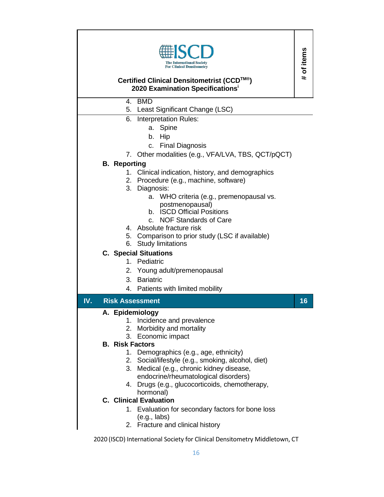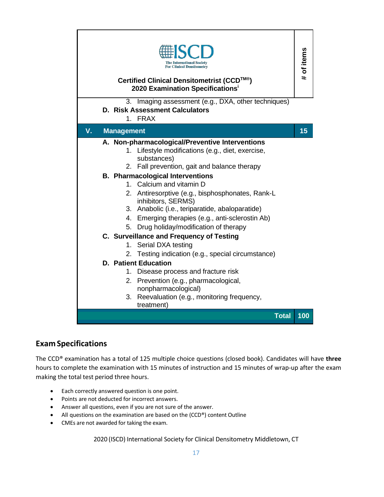| he International Society'<br><b>For Clinical Densitometry</b><br>Certified Clinical Densitometrist (CCD™®)<br>2020 Examination Specifications <sup>i</sup><br>3. Imaging assessment (e.g., DXA, other techniques)                                                                                                                                                                                                                                                         |     |  |
|---------------------------------------------------------------------------------------------------------------------------------------------------------------------------------------------------------------------------------------------------------------------------------------------------------------------------------------------------------------------------------------------------------------------------------------------------------------------------|-----|--|
| <b>D. Risk Assessment Calculators</b><br>1. FRAX                                                                                                                                                                                                                                                                                                                                                                                                                          |     |  |
| V.<br><b>Management</b>                                                                                                                                                                                                                                                                                                                                                                                                                                                   | 15  |  |
| A. Non-pharmacological/Preventive Interventions<br>Lifestyle modifications (e.g., diet, exercise,<br>1.<br>substances)<br>2. Fall prevention, gait and balance therapy<br><b>B. Pharmacological Interventions</b><br>1. Calcium and vitamin D<br>2. Antiresorptive (e.g., bisphosphonates, Rank-L<br>inhibitors, SERMS)<br>3. Anabolic (i.e., teriparatide, abaloparatide)<br>4. Emerging therapies (e.g., anti-sclerostin Ab)<br>5. Drug holiday/modification of therapy |     |  |
| C. Surveillance and Frequency of Testing<br>1. Serial DXA testing<br>2. Testing indication (e.g., special circumstance)                                                                                                                                                                                                                                                                                                                                                   |     |  |
| <b>D. Patient Education</b><br>Disease process and fracture risk<br>1.<br>Prevention (e.g., pharmacological,<br>2.<br>nonpharmacological)<br>Reevaluation (e.g., monitoring frequency,<br>3.<br>treatment)                                                                                                                                                                                                                                                                |     |  |
| <b>Total</b>                                                                                                                                                                                                                                                                                                                                                                                                                                                              | 100 |  |

## **Exam Specifications**

The CCD® examination has a total of 125 multiple choice questions (closed book). Candidates will have **three** hours to complete the examination with 15 minutes of instruction and 15 minutes of wrap-up after the exam making the total test period three hours.

- Each correctly answered question is one point.
- Points are not deducted for incorrect answers.
- Answer all questions, even if you are not sure of the answer.
- All questions on the examination are based on the (CCD®) content Outline
- CMEs are not awarded for taking the exam.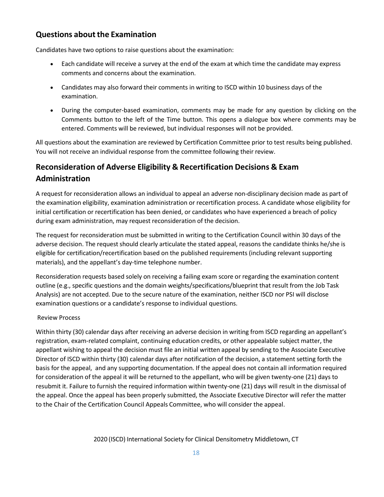## **Questions about the Examination**

Candidates have two options to raise questions about the examination:

- Each candidate will receive a survey at the end of the exam at which time the candidate may express comments and concerns about the examination.
- Candidates may also forward their comments in writing to ISCD within 10 business days of the examination.
- During the computer-based examination, comments may be made for any question by clicking on the Comments button to the left of the Time button. This opens a dialogue box where comments may be entered. Comments will be reviewed, but individual responses will not be provided.

All questions about the examination are reviewed by Certification Committee prior to test results being published. You will not receive an individual response from the committee following their review.

## **Reconsideration of Adverse Eligibility & Recertification Decisions & Exam Administration**

A request for reconsideration allows an individual to appeal an adverse non-disciplinary decision made as part of the examination eligibility, examination administration or recertification process. A candidate whose eligibility for initial certification or recertification has been denied, or candidates who have experienced a breach of policy during exam administration, may request reconsideration of the decision.

The request for reconsideration must be submitted in writing to the Certification Council within 30 days of the adverse decision. The request should clearly articulate the stated appeal, reasons the candidate thinks he/she is eligible for certification/recertification based on the published requirements (including relevant supporting materials), and the appellant's day-time telephone number.

Reconsideration requests based solely on receiving a failing exam score or regarding the examination content outline (e.g., specific questions and the domain weights/specifications/blueprint that result from the Job Task Analysis) are not accepted. Due to the secure nature of the examination, neither ISCD nor PSI will disclose examination questions or a candidate's response to individual questions.

### Review Process

Within thirty (30) calendar days after receiving an adverse decision in writing from ISCD regarding an appellant's registration, exam-related complaint, continuing education credits, or other appealable subject matter, the appellant wishing to appeal the decision must file an initial written appeal by sending to the Associate Executive Director of ISCD within thirty (30) calendar days after notification of the decision, a statement setting forth the basis for the appeal, and any supporting documentation. If the appeal does not contain all information required for consideration of the appeal it will be returned to the appellant, who will be given twenty-one (21) days to resubmit it. Failure to furnish the required information within twenty-one (21) days will result in the dismissal of the appeal. Once the appeal has been properly submitted, the Associate Executive Director will refer the matter to the Chair of the Certification Council Appeals Committee, who will consider the appeal.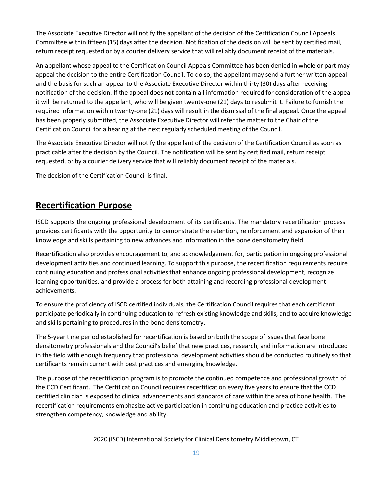The Associate Executive Director will notify the appellant of the decision of the Certification Council Appeals Committee within fifteen (15) days after the decision. Notification of the decision will be sent by certified mail, return receipt requested or by a courier delivery service that will reliably document receipt of the materials.

An appellant whose appeal to the Certification Council Appeals Committee has been denied in whole or part may appeal the decision to the entire Certification Council. To do so, the appellant may send a further written appeal and the basis for such an appeal to the Associate Executive Director within thirty (30) days after receiving notification of the decision. If the appeal does not contain all information required for consideration of the appeal it will be returned to the appellant, who will be given twenty-one (21) days to resubmit it. Failure to furnish the required information within twenty-one (21) days will result in the dismissal of the final appeal. Once the appeal has been properly submitted, the Associate Executive Director will refer the matter to the Chair of the Certification Council for a hearing at the next regularly scheduled meeting of the Council.

The Associate Executive Director will notify the appellant of the decision of the Certification Council as soon as practicable after the decision by the Council. The notification will be sent by certified mail, return receipt requested, or by a courier delivery service that will reliably document receipt of the materials.

The decision of the Certification Council is final.

## **Recertification Purpose**

ISCD supports the ongoing professional development of its certificants. The mandatory recertification process provides certificants with the opportunity to demonstrate the retention, reinforcement and expansion of their knowledge and skills pertaining to new advances and information in the bone densitometry field.

Recertification also provides encouragement to, and acknowledgement for, participation in ongoing professional development activities and continued learning. To support this purpose, the recertification requirements require continuing education and professional activities that enhance ongoing professional development, recognize learning opportunities, and provide a process for both attaining and recording professional development achievements.

To ensure the proficiency of ISCD certified individuals, the Certification Council requires that each certificant participate periodically in continuing education to refresh existing knowledge and skills, and to acquire knowledge and skills pertaining to procedures in the bone densitometry.

The 5‐year time period established for recertification is based on both the scope of issues that face bone densitometry professionals and the Council's belief that new practices, research, and information are introduced in the field with enough frequency that professional development activities should be conducted routinely so that certificants remain current with best practices and emerging knowledge.

The purpose of the recertification program is to promote the continued competence and professional growth of the CCD Certificant. The Certification Council requires recertification every five years to ensure that the CCD certified clinician is exposed to clinical advancements and standards of care within the area of bone health. The recertification requirements emphasize active participation in continuing education and practice activities to strengthen competency, knowledge and ability.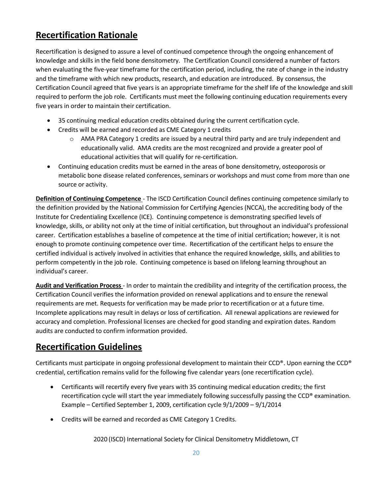## **Recertification Rationale**

Recertification is designed to assure a level of continued competence through the ongoing enhancement of knowledge and skills in the field bone densitometry. The Certification Council considered a number of factors when evaluating the five-year timeframe for the certification period, including, the rate of change in the industry and the timeframe with which new products, research, and education are introduced. By consensus, the Certification Council agreed that five years is an appropriate timeframe for the shelf life of the knowledge and skill required to perform the job role. Certificants must meet the following continuing education requirements every five years in order to maintain their certification.

- 35 continuing medical education credits obtained during the current certification cycle.
- Credits will be earned and recorded as CME Category 1 credits
	- o AMA PRA Category 1 credits are issued by a neutral third party and are truly independent and educationally valid. AMA credits are the most recognized and provide a greater pool of educational activities that will qualify for re-certification.
- Continuing education credits must be earned in the areas of bone densitometry, osteoporosis or metabolic bone disease related conferences, seminars or workshops and must come from more than one source or activity.

**Definition of Continuing Competence** - The ISCD Certification Council defines continuing competence similarly to the definition provided by the National Commission for Certifying Agencies (NCCA), the accrediting body of the Institute for Credentialing Excellence (ICE). Continuing competence is demonstrating specified levels of knowledge, skills, or ability not only at the time of initial certification, but throughout an individual's professional career. Certification establishes a baseline of competence at the time of initial certification; however, it is not enough to promote continuing competence over time. Recertification of the certificant helps to ensure the certified individual is actively involved in activities that enhance the required knowledge, skills, and abilities to perform competently in the job role. Continuing competence is based on lifelong learning throughout an individual's career.

**Audit and Verification Process** - In order to maintain the credibility and integrity of the certification process, the Certification Council verifies the information provided on renewal applications and to ensure the renewal requirements are met. Requests for verification may be made prior to recertification or at a future time. Incomplete applications may result in delays or loss of certification. All renewal applications are reviewed for accuracy and completion. Professional licenses are checked for good standing and expiration dates. Random audits are conducted to confirm information provided.

## **Recertification Guidelines**

Certificants must participate in ongoing professional development to maintain their CCD®. Upon earning the CCD® credential, certification remains valid for the following five calendar years (one recertification cycle).

- Certificants will recertify every five years with 35 continuing medical education credits; the first recertification cycle will start the year immediately following successfully passing the CCD® examination. Example – Certified September 1, 2009, certification cycle 9/1/2009 – 9/1/2014
- Credits will be earned and recorded as CME Category 1 Credits.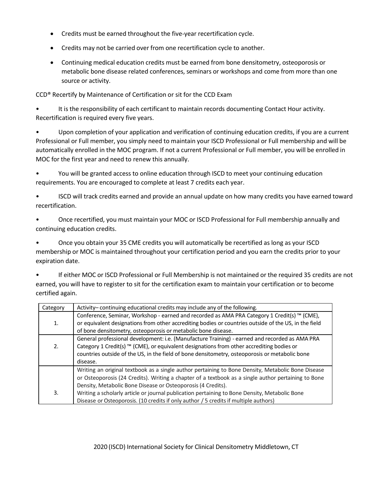- Credits must be earned throughout the five-year recertification cycle.
- Credits may not be carried over from one recertification cycle to another.
- Continuing medical education credits must be earned from bone densitometry, osteoporosis or metabolic bone disease related conferences, seminars or workshops and come from more than one source or activity.

CCD® Recertify by Maintenance of Certification or sit for the CCD Exam

• It is the responsibility of each certificant to maintain records documenting Contact Hour activity. Recertification is required every five years.

• Upon completion of your application and verification of continuing education credits, if you are a current Professional or Full member, you simply need to maintain your ISCD Professional or Full membership and will be automatically enrolled in the MOC program. If not a current Professional or Full member, you will be enrolled in MOC for the first year and need to renew this annually.

• You will be granted access to online education through ISCD to meet your continuing education requirements. You are encouraged to complete at least 7 credits each year.

• ISCD will track credits earned and provide an annual update on how many credits you have earned toward recertification.

• Once recertified, you must maintain your MOC or ISCD Professional for Full membership annually and continuing education credits.

• Once you obtain your 35 CME credits you will automatically be recertified as long as your ISCD membership or MOC is maintained throughout your certification period and you earn the credits prior to your expiration date.

• If either MOC or ISCD Professional or Full Membership is not maintained or the required 35 credits are not earned, you will have to register to sit for the certification exam to maintain your certification or to become certified again.

| Category | Activity-continuing educational credits may include any of the following.                                                                                                                                                                                                                                 |
|----------|-----------------------------------------------------------------------------------------------------------------------------------------------------------------------------------------------------------------------------------------------------------------------------------------------------------|
| 1.       | Conference, Seminar, Workshop - earned and recorded as AMA PRA Category 1 Credit(s) ™ (CME),<br>or equivalent designations from other accrediting bodies or countries outside of the US, in the field<br>of bone densitometry, osteoporosis or metabolic bone disease.                                    |
| 2.       | General professional development: i.e. (Manufacture Training) - earned and recorded as AMA PRA<br>Category 1 Credit(s) ™ (CME), or equivalent designations from other accrediting bodies or<br>countries outside of the US, in the field of bone densitometry, osteoporosis or metabolic bone<br>disease. |
|          | Writing an original textbook as a single author pertaining to Bone Density, Metabolic Bone Disease<br>or Osteoporosis (24 Credits). Writing a chapter of a textbook as a single author pertaining to Bone<br>Density, Metabolic Bone Disease or Osteoporosis (4 Credits).                                 |
| 3.       | Writing a scholarly article or journal publication pertaining to Bone Density, Metabolic Bone<br>Disease or Osteoporosis. (10 credits if only author / 5 credits if multiple authors)                                                                                                                     |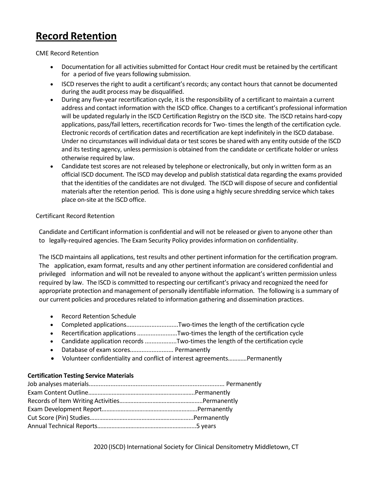## **Record Retention**

CME Record Retention

- Documentation for all activities submitted for Contact Hour credit must be retained by the certificant for a period of five years following submission.
- ISCD reserves the right to audit a certificant's records; any contact hours that cannot be documented during the audit process may be disqualified.
- During any five-year recertification cycle, it is the responsibility of a certificant to maintain a current address and contact information with the ISCD office. Changes to a certificant's professional information will be updated regularly in the ISCD Certification Registry on the ISCD site. The ISCD retains hard-copy applications, pass/fail letters, recertification records for Two- times the length of the certification cycle. Electronic records of certification dates and recertification are kept indefinitely in the ISCD database. Under no circumstances will individual data or test scores be shared with any entity outside of the ISCD and its testing agency, unless permission is obtained from the candidate or certificate holder or unless otherwise required by law.
- Candidate test scores are not released by telephone or electronically, but only in written form as an official ISCD document. The ISCD may develop and publish statistical data regarding the exams provided that the identities of the candidates are not divulged. The ISCD will dispose of secure and confidential materials after the retention period. This is done using a highly secure shredding service which takes place on-site at the ISCD office.

### Certificant Record Retention

Candidate and Certificant information is confidential and will not be released or given to anyone other than to legally-required agencies. The Exam Security Policy providesinformation on confidentiality.

The ISCD maintains all applications, test results and other pertinent information for the certification program. The application, exam format, results and any other pertinent information are considered confidential and privileged information and will not be revealed to anyone without the applicant's written permission unless required by law. The ISCD is committed to respecting our certificant's privacy and recognized the need for appropriate protection and management of personally identifiable information. The following is a summary of our current policies and procedures related to information gathering and dissemination practices.

- Record Retention Schedule
- Completed applications...............................Two-times the length of the certification cycle
- Recertification applications .........................Two-times the length of the certification cycle
- Candidate application records...................Two-times the length of the certification cycle
- Database of exam scores.......................... Permanently
- Volunteer confidentiality and conflict of interest agreements…………Permanently

#### **Certification Testing Service Materials**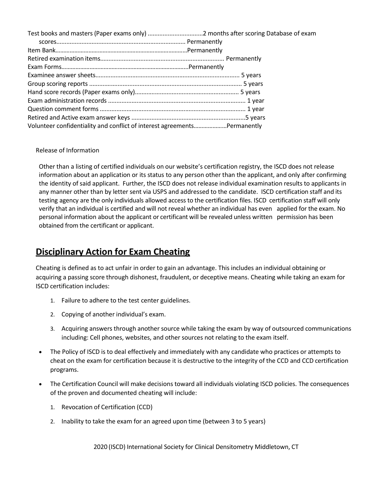| Volunteer confidentiality and conflict of interest agreementsPermanently |  |
|--------------------------------------------------------------------------|--|

### Release of Information

Other than a listing of certified individuals on our website's certification registry, the ISCD does not release information about an application or its status to any person other than the applicant, and only after confirming the identity of said applicant. Further, the ISCD does not release individual examination results to applicants in any manner other than by letter sent via USPS and addressed to the candidate. ISCD certification staff and its testing agency are the only individuals allowed access to the certification files. ISCD certification staff will only verify that an individual is certified and will not reveal whether an individual has even applied for the exam. No personal information about the applicant or certificant will be revealed unless written permission has been obtained from the certificant or applicant.

## **Disciplinary Action for Exam Cheating**

Cheating is defined as to act unfair in order to gain an advantage. This includes an individual obtaining or acquiring a passing score through dishonest, fraudulent, or deceptive means. Cheating while taking an exam for ISCD certification includes:

- 1. Failure to adhere to the test center guidelines.
- 2. Copying of another individual's exam.
- 3. Acquiring answers through another source while taking the exam by way of outsourced communications including: Cell phones, websites, and other sources not relating to the exam itself.
- The Policy of ISCD is to deal effectively and immediately with any candidate who practices or attempts to cheat on the exam for certification because it is destructive to the integrity of the CCD and CCD certification programs.
- The Certification Council will make decisions toward all individuals violating ISCD policies. The consequences of the proven and documented cheating will include:
	- 1. Revocation of Certification (CCD)
	- 2. Inability to take the exam for an agreed upon time (between 3 to 5 years)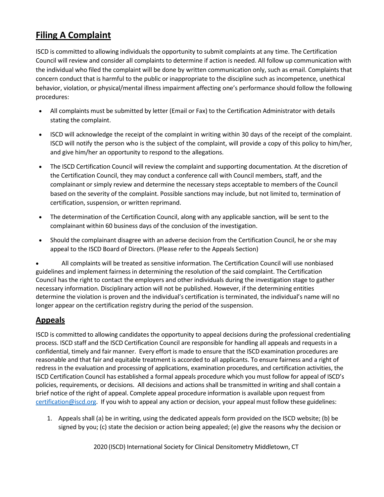## **Filing A Complaint**

ISCD is committed to allowing individuals the opportunity to submit complaints at any time. The Certification Council will review and consider all complaints to determine if action is needed. All follow up communication with the individual who filed the complaint will be done by written communication only, such as email. Complaints that concern conduct that is harmful to the public or inappropriate to the discipline such as incompetence, unethical behavior, violation, or physical/mental illness impairment affecting one's performance should follow the following procedures:

- All complaints must be submitted by letter (Email or Fax) to the Certification Administrator with details stating the complaint.
- ISCD will acknowledge the receipt of the complaint in writing within 30 days of the receipt of the complaint. ISCD will notify the person who is the subject of the complaint, will provide a copy of this policy to him/her, and give him/her an opportunity to respond to the allegations.
- The ISCD Certification Council will review the complaint and supporting documentation. At the discretion of the Certification Council, they may conduct a conference call with Council members, staff, and the complainant or simply review and determine the necessary steps acceptable to members of the Council based on the severity of the complaint. Possible sanctions may include, but not limited to, termination of certification, suspension, or written reprimand.
- The determination of the Certification Council, along with any applicable sanction, will be sent to the complainant within 60 business days of the conclusion of the investigation.
- Should the complainant disagree with an adverse decision from the Certification Council, he or she may appeal to the ISCD Board of Directors. (Please refer to the Appeals Section)

• All complaints will be treated as sensitive information. The Certification Council will use nonbiased guidelines and implement fairness in determining the resolution of the said complaint. The Certification Council has the right to contact the employers and other individuals during the investigation stage to gather necessary information. Disciplinary action will not be published. However, if the determining entities determine the violation is proven and the individual's certification is terminated, the individual's name will no longer appear on the certification registry during the period of the suspension.

## **Appeals**

ISCD is committed to allowing candidates the opportunity to appeal decisions during the professional credentialing process. ISCD staff and the ISCD Certification Council are responsible for handling all appeals and requestsin a confidential, timely and fair manner. Every effort is made to ensure that the ISCD examination procedures are reasonable and that fair and equitable treatment is accorded to all applicants. To ensure fairness and a right of redress in the evaluation and processing of applications, examination procedures, and certification activities, the ISCD Certification Council has established a formal appeals procedure which you must follow for appeal of ISCD's policies, requirements, or decisions. All decisions and actions shall be transmitted in writing and shall contain a brief notice of the right of appeal. Complete appeal procedure information is available upon request from [certification@iscd.org.](mailto:certification@iscd.org) If you wish to appeal any action or decision, your appeal must follow these guidelines:

1. Appeals shall (a) be in writing, using the dedicated appeals form provided on the ISCD website; (b) be signed by you; (c) state the decision or action being appealed; (e) give the reasons why the decision or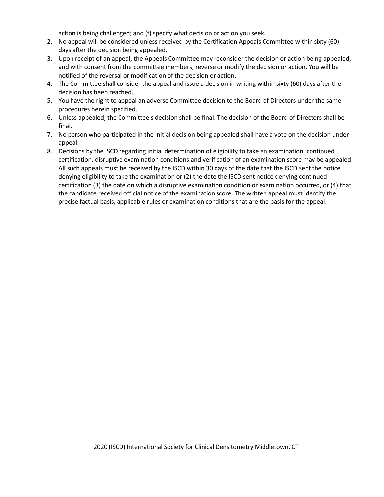action is being challenged; and (f) specify what decision or action you seek.

- 2. No appeal will be considered unless received by the Certification Appeals Committee within sixty (60) days after the decision being appealed.
- 3. Upon receipt of an appeal, the Appeals Committee may reconsider the decision or action being appealed, and with consent from the committee members, reverse or modify the decision or action. You will be notified of the reversal or modification of the decision or action.
- 4. The Committee shall consider the appeal and issue a decision in writing within sixty (60) days after the decision has been reached.
- 5. You have the right to appeal an adverse Committee decision to the Board of Directors under the same procedures herein specified.
- 6. Unless appealed, the Committee's decision shall be final. The decision of the Board of Directors shall be final.
- 7. No person who participated in the initial decision being appealed shall have a vote on the decision under appeal.
- 8. Decisions by the ISCD regarding initial determination of eligibility to take an examination, continued certification, disruptive examination conditions and verification of an examination score may be appealed. All such appeals must be received by the ISCD within 30 days of the date that the ISCD sent the notice denying eligibility to take the examination or (2) the date the ISCD sent notice denying continued certification (3) the date on which a disruptive examination condition or examination occurred, or (4) that the candidate received official notice of the examination score. The written appeal must identify the precise factual basis, applicable rules or examination conditions that are the basis for the appeal.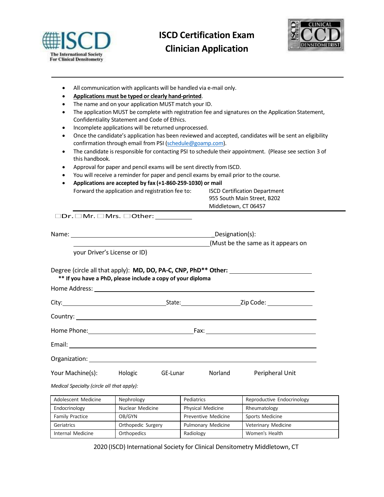

## **ISCD Certification Exam Clinician Application**



- All communication with applicants will be handled via e-mail only.
- **Applications must be typed or clearly hand-printed**.
- The name and on your application MUST match your ID.
- The application MUST be complete with registration fee and signatures on the Application Statement, Confidentiality Statement and Code of Ethics.
- Incomplete applications will be returned unprocessed.
- Once the candidate's application has been reviewed and accepted, candidates will be sent an eligibility confirmation through email from PSI (schedule@goamp.com).
- The candidate is responsible for contacting PSI to schedule their appointment. (Please see section 3 of this handbook.
- Approval for paper and pencil exams will be sent directly from ISCD.
- You will receive a reminder for paper and pencil exams by email prior to the course.
- **Applications are accepted by fax (+1-860-259-1030) or mail**

| Forward the application and registration fee to: | <b>ISCD Certification Department</b> |
|--------------------------------------------------|--------------------------------------|
|                                                  | 955 South Main Street. B202          |
|                                                  | Middletown, CT 06457                 |

 $\square$ Dr.  $\square$  Mr.  $\square$  Mrs.  $\square$  Other:  $\underline{\hspace{1cm}}$ 

|                                                                                                                |                              |  | Designation(s):<br>(Must be the same as it appears on                                        |  |  |
|----------------------------------------------------------------------------------------------------------------|------------------------------|--|----------------------------------------------------------------------------------------------|--|--|
|                                                                                                                | your Driver's License or ID) |  |                                                                                              |  |  |
| ** If you have a PhD, please include a copy of your diploma                                                    |                              |  | Degree (circle all that apply): <b>MD, DO, PA-C, CNP, PhD** Other:</b> _____________________ |  |  |
|                                                                                                                |                              |  |                                                                                              |  |  |
|                                                                                                                |                              |  |                                                                                              |  |  |
|                                                                                                                |                              |  |                                                                                              |  |  |
|                                                                                                                |                              |  |                                                                                              |  |  |
| Organization: National Contract of Contract of Contract of Contract of Contract of Contract of Contract of Con |                              |  |                                                                                              |  |  |
| Your Machine(s): Hologic GE-Lunar Norland Peripheral Unit<br>Medical Specialty (circle all that apply):        |                              |  |                                                                                              |  |  |

| Adolescent Medicine    | Nephrology         | Pediatrics               | Reproductive Endocrinology |  |
|------------------------|--------------------|--------------------------|----------------------------|--|
| Endocrinology          | Nuclear Medicine   | <b>Physical Medicine</b> | Rheumatology               |  |
| <b>Family Practice</b> | OB/GYN             | Preventive Medicine      | Sports Medicine            |  |
| Geriatrics             | Orthopedic Surgery | Pulmonary Medicine       | Veterinary Medicine        |  |
| Internal Medicine      | Orthopedics        | Radiology                | Women's Health             |  |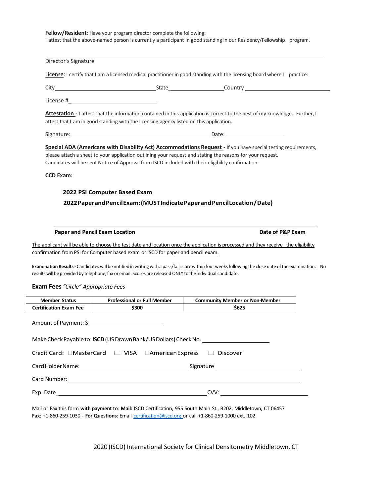| Director's Signature                                                                                |                                                                                                               |                                                                                                                                                       |
|-----------------------------------------------------------------------------------------------------|---------------------------------------------------------------------------------------------------------------|-------------------------------------------------------------------------------------------------------------------------------------------------------|
|                                                                                                     |                                                                                                               | License: I certify that I am a licensed medical practitioner in good standing with the licensing board where I practice:                              |
|                                                                                                     |                                                                                                               |                                                                                                                                                       |
|                                                                                                     | License # 1999 - 1999 - 1999 - 1999 - 1999 - 1999 - 1999 - 1999 - 1999 - 1999 - 1999 - 1999 - 1999 - 1999 - 1 |                                                                                                                                                       |
|                                                                                                     | attest that I am in good standing with the licensing agency listed on this application.                       | Attestation - I attest that the information contained in this application is correct to the best of my knowledge. Further, I                          |
|                                                                                                     |                                                                                                               |                                                                                                                                                       |
| <b>CCD Exam:</b>                                                                                    | Candidates will be sent Notice of Approval from ISCD included with their eligibility confirmation.            |                                                                                                                                                       |
|                                                                                                     |                                                                                                               |                                                                                                                                                       |
|                                                                                                     | 2022 PSI Computer Based Exam                                                                                  |                                                                                                                                                       |
|                                                                                                     |                                                                                                               |                                                                                                                                                       |
|                                                                                                     |                                                                                                               | 2022 Paper and Pencil Exam: (MUST Indicate Paper and Pencil Location / Date)                                                                          |
|                                                                                                     |                                                                                                               |                                                                                                                                                       |
|                                                                                                     |                                                                                                               |                                                                                                                                                       |
| <b>Paper and Pencil Exam Location</b>                                                               |                                                                                                               | Date of P&P Exam                                                                                                                                      |
|                                                                                                     |                                                                                                               | The applicant will be able to choose the test date and location once the application is processed and they receive the eligibility                    |
|                                                                                                     | confirmation from PSI for Computer based exam or ISCD for paper and pencil exam.                              |                                                                                                                                                       |
|                                                                                                     |                                                                                                               |                                                                                                                                                       |
|                                                                                                     |                                                                                                               | Examination Results - Candidates will be notified in writing with a pass/fail score within four weeks following the close date of the examination. No |
|                                                                                                     | results will be provided by telephone, fax or email. Scores are released ONLY to the individual candidate.    |                                                                                                                                                       |
|                                                                                                     |                                                                                                               |                                                                                                                                                       |
|                                                                                                     | <b>Professional or Full Member</b>                                                                            | <b>Community Member or Non-Member</b>                                                                                                                 |
|                                                                                                     | \$300                                                                                                         | \$625                                                                                                                                                 |
|                                                                                                     | Amount of Payment: \$ ___________________________                                                             |                                                                                                                                                       |
|                                                                                                     | Make Check Payable to: <b>ISCD</b> (US Drawn Bank/US Dollars) Check No.                                       |                                                                                                                                                       |
|                                                                                                     | Credit Card: CMasterCard C VISA CAmerican Express C Discover                                                  |                                                                                                                                                       |
|                                                                                                     |                                                                                                               |                                                                                                                                                       |
|                                                                                                     |                                                                                                               |                                                                                                                                                       |
| <b>Exam Fees</b> "Circle" Appropriate Fees<br><b>Member Status</b><br><b>Certification Exam Fee</b> |                                                                                                               | Card Number: <u>Card Number</u> Card Number 2014                                                                                                      |

Mail or Fax this form **with payment** to: **Mail:** ISCD Certification, 955 South Main St., B202, Middletown, CT 06457 **Fax**: +1-860-259-1030 - **For Questions**: Email [certification@iscd.org](mailto:certification@iscd.org) or call +1-860-259-1000 ext. 102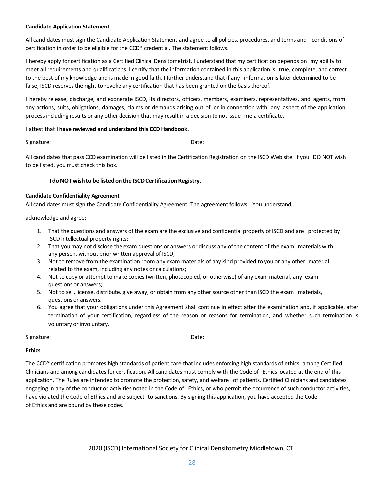#### **Candidate Application Statement**

All candidates must sign the Candidate Application Statement and agree to all policies, procedures, and terms and conditions of certification in order to be eligible for the CCD® credential. The statement follows.

I hereby apply for certification as a Certified Clinical Densitometrist. I understand that my certification depends on my ability to meet all requirements and qualifications. I certify that the information contained in this application is true, complete, and correct to the best of my knowledge and is made in good faith. I further understand that if any information is later determined to be false, ISCD reserves the right to revoke any certification that has been granted on the basis thereof.

I hereby release, discharge, and exonerate ISCD, its directors, officers, members, examiners, representatives, and agents, from any actions, suits, obligations, damages, claims or demands arising out of, or in connection with, any aspect of the application processincluding results or any other decision that may result in a decision to not issue me a certificate.

#### I attest that **I have reviewed and understand this CCD Handbook.**

| Signature: | Date: |
|------------|-------|
|            |       |

All candidates that pass CCD examination will be listed in the Certification Registration on the ISCD Web site. If you DO NOT wish to be listed, you must check this box.

#### **IdoNOT wishto be listedonthe ISCDCertificationRegistry.**

#### **Candidate Confidentiality Agreement**

All candidates must sign the Candidate Confidentiality Agreement. The agreement follows: You understand,

acknowledge and agree:

- 1. That the questions and answers of the exam are the exclusive and confidential property of ISCD and are protected by ISCD intellectual property rights;
- 2. That you may not disclose the exam questions or answers or discuss any of the content of the exam materials with any person, without prior written approval of ISCD;
- 3. Not to remove from the examination room any exam materials of any kind provided to you or any other material related to the exam, including any notes or calculations;
- 4. Not to copy or attempt to make copies (written, photocopied, or otherwise) of any exam material, any exam questions or answers;
- 5. Not to sell, license, distribute, give away, or obtain from any other source other than ISCD the exam materials, questions or answers.
- 6. You agree that your obligations under this Agreement shall continue in effect after the examination and, if applicable, after termination of your certification, regardless of the reason or reasons for termination, and whether such termination is voluntary or involuntary.

Signature: Date: Date: Date: Date: Date: Date: Date:

#### **Ethics**

The CCD® certification promotes high standards of patient care that includes enforcing high standards of ethics among Certified Clinicians and among candidatesfor certification. All candidates must comply with the Code of Ethicslocated at the end of this application. The Rules are intended to promote the protection, safety, and welfare of patients. Certified Clinicians and candidates engaging in any of the conduct or activities noted in the Code of Ethics, or who permit the occurrence of such conductor activities, have violated the Code of Ethics and are subject to sanctions. By signing this application, you have accepted the Code of Ethics and are bound by these codes.